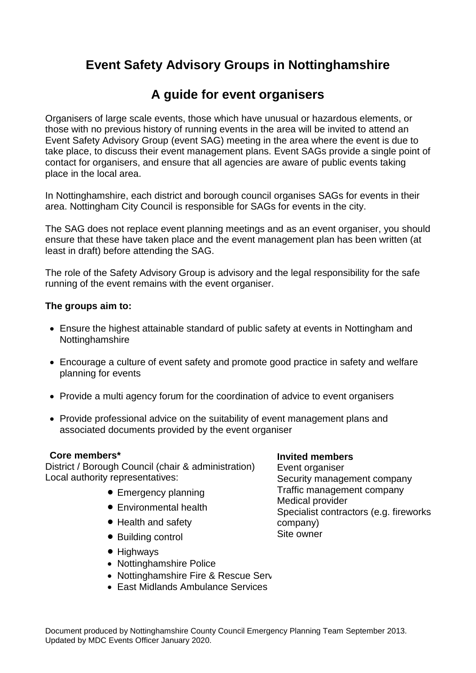# **Event Safety Advisory Groups in Nottinghamshire**

## **A guide for event organisers**

Organisers of large scale events, those which have unusual or hazardous elements, or those with no previous history of running events in the area will be invited to attend an Event Safety Advisory Group (event SAG) meeting in the area where the event is due to take place, to discuss their event management plans. Event SAGs provide a single point of contact for organisers, and ensure that all agencies are aware of public events taking place in the local area.

In Nottinghamshire, each district and borough council organises SAGs for events in their area. Nottingham City Council is responsible for SAGs for events in the city.

The SAG does not replace event planning meetings and as an event organiser, you should ensure that these have taken place and the event management plan has been written (at least in draft) before attending the SAG.

The role of the Safety Advisory Group is advisory and the legal responsibility for the safe running of the event remains with the event organiser.

#### **The groups aim to:**

- Ensure the highest attainable standard of public safety at events in Nottingham and Nottinghamshire
- Encourage a culture of event safety and promote good practice in safety and welfare planning for events
- Provide a multi agency forum for the coordination of advice to event organisers
- Provide professional advice on the suitability of event management plans and associated documents provided by the event organiser

#### **Core members\***

District / Borough Council (chair & administration) Local authority representatives:

- Emergency planning
- Environmental health
- Health and safety
- Building control
- Highways
- Nottinghamshire Police
- Nottinghamshire Fire & Rescue Service
- East Midlands Ambulance Services

#### **Invited members**

Event organiser Security management company Traffic management company Medical provider Specialist contractors (e.g. fireworks company) Site owner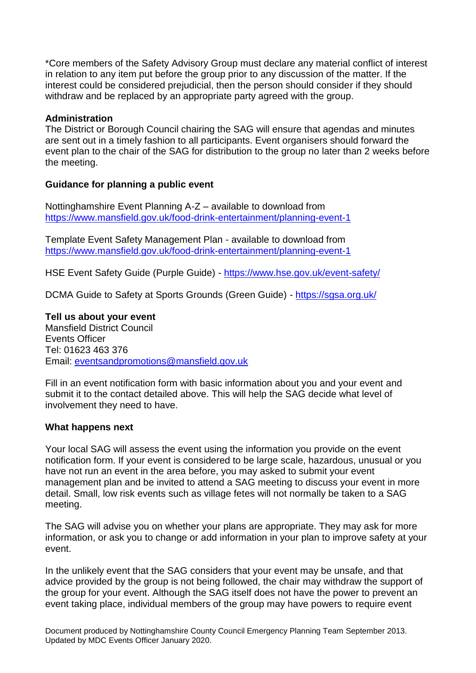\*Core members of the Safety Advisory Group must declare any material conflict of interest in relation to any item put before the group prior to any discussion of the matter. If the interest could be considered prejudicial, then the person should consider if they should withdraw and be replaced by an appropriate party agreed with the group.

#### **Administration**

The District or Borough Council chairing the SAG will ensure that agendas and minutes are sent out in a timely fashion to all participants. Event organisers should forward the event plan to the chair of the SAG for distribution to the group no later than 2 weeks before the meeting.

### **Guidance for planning a public event**

Nottinghamshire Event Planning A-Z – available to download from <https://www.mansfield.gov.uk/food-drink-entertainment/planning-event-1>

Template Event Safety Management Plan - available to download from <https://www.mansfield.gov.uk/food-drink-entertainment/planning-event-1>

HSE Event Safety Guide (Purple Guide) - <https://www.hse.gov.uk/event-safety/>

DCMA Guide to Safety at Sports Grounds (Green Guide) - <https://sgsa.org.uk/>

**Tell us about your event** Mansfield District Council Events Officer Tel: 01623 463 376 Email: [eventsandpromotions@mansfield.gov.uk](mailto:eventsandpromotions@mansfield.gov.uk)

Fill in an event notification form with basic information about you and your event and submit it to the contact detailed above. This will help the SAG decide what level of involvement they need to have.

#### **What happens next**

Your local SAG will assess the event using the information you provide on the event notification form. If your event is considered to be large scale, hazardous, unusual or you have not run an event in the area before, you may asked to submit your event management plan and be invited to attend a SAG meeting to discuss your event in more detail. Small, low risk events such as village fetes will not normally be taken to a SAG meeting.

The SAG will advise you on whether your plans are appropriate. They may ask for more information, or ask you to change or add information in your plan to improve safety at your event.

In the unlikely event that the SAG considers that your event may be unsafe, and that advice provided by the group is not being followed, the chair may withdraw the support of the group for your event. Although the SAG itself does not have the power to prevent an event taking place, individual members of the group may have powers to require event

Document produced by Nottinghamshire County Council Emergency Planning Team September 2013. Updated by MDC Events Officer January 2020.